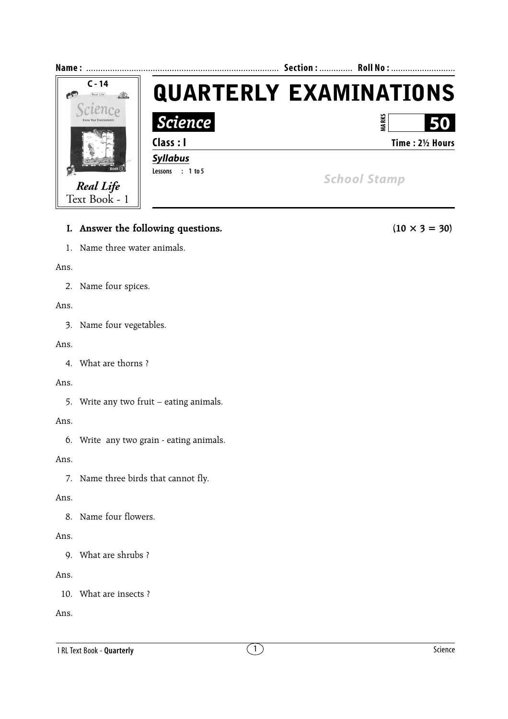

# **I.** Answer the following questions. (10  $\times$  3 = 30)

1. Name three water animals.

#### Ans.

2. Name four spices.

# Ans.

3. Name four vegetables.

# Ans.

4. What are thorns ?

# Ans.

5. Write any two fruit – eating animals.

# Ans.

6. Write any two grain - eating animals.

# Ans.

7. Name three birds that cannot fly.

# Ans.

8. Name four flowers.

# Ans.

9. What are shrubs ?

# Ans.

10. What are insects ?

Ans.